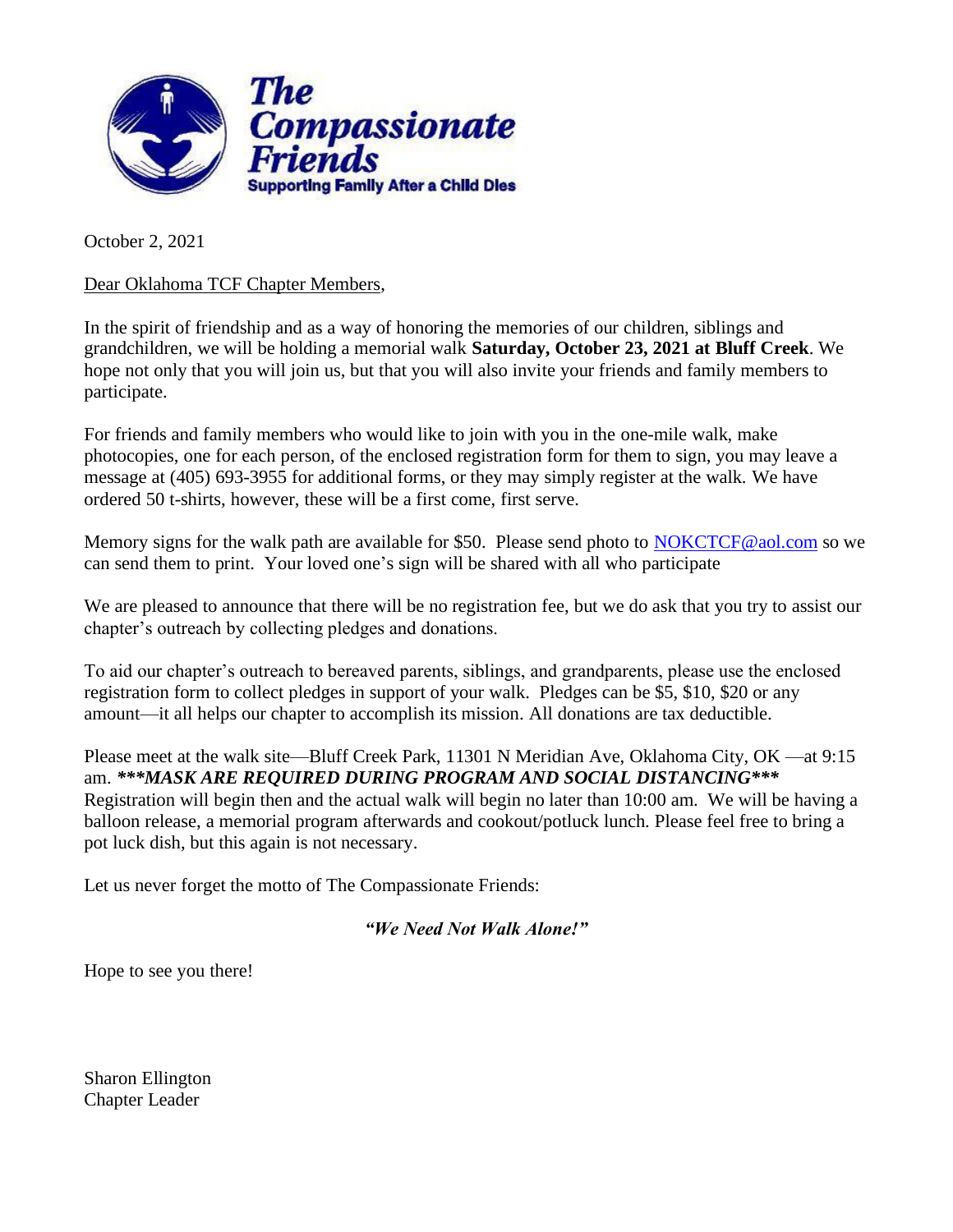

October 2, 2021

Dear Oklahoma TCF Chapter Members,

In the spirit of friendship and as a way of honoring the memories of our children, siblings and grandchildren, we will be holding a memorial walk **Saturday, October 23, 2021 at Bluff Creek**. We hope not only that you will join us, but that you will also invite your friends and family members to participate.

For friends and family members who would like to join with you in the one-mile walk, make photocopies, one for each person, of the enclosed registration form for them to sign, you may leave a message at (405) 693-3955 for additional forms, or they may simply register at the walk. We have ordered 50 t-shirts, however, these will be a first come, first serve.

Memory signs for the walk path are available for \$50. Please send photo to [NOKCTCF@aol.com](mailto:NOKCTCF@aol.com) so we can send them to print. Your loved one's sign will be shared with all who participate

We are pleased to announce that there will be no registration fee, but we do ask that you try to assist our chapter's outreach by collecting pledges and donations.

To aid our chapter's outreach to bereaved parents, siblings, and grandparents, please use the enclosed registration form to collect pledges in support of your walk. Pledges can be \$5, \$10, \$20 or any amount—it all helps our chapter to accomplish its mission. All donations are tax deductible.

Please meet at the walk site—Bluff Creek Park, 11301 N Meridian Ave, Oklahoma City, OK —at 9:15 am. *\*\*\*MASK ARE REQUIRED DURING PROGRAM AND SOCIAL DISTANCING\*\*\** Registration will begin then and the actual walk will begin no later than 10:00 am. We will be having a balloon release, a memorial program afterwards and cookout/potluck lunch. Please feel free to bring a pot luck dish, but this again is not necessary.

Let us never forget the motto of The Compassionate Friends:

*"We Need Not Walk Alone!"*

Hope to see you there!

Sharon Ellington Chapter Leader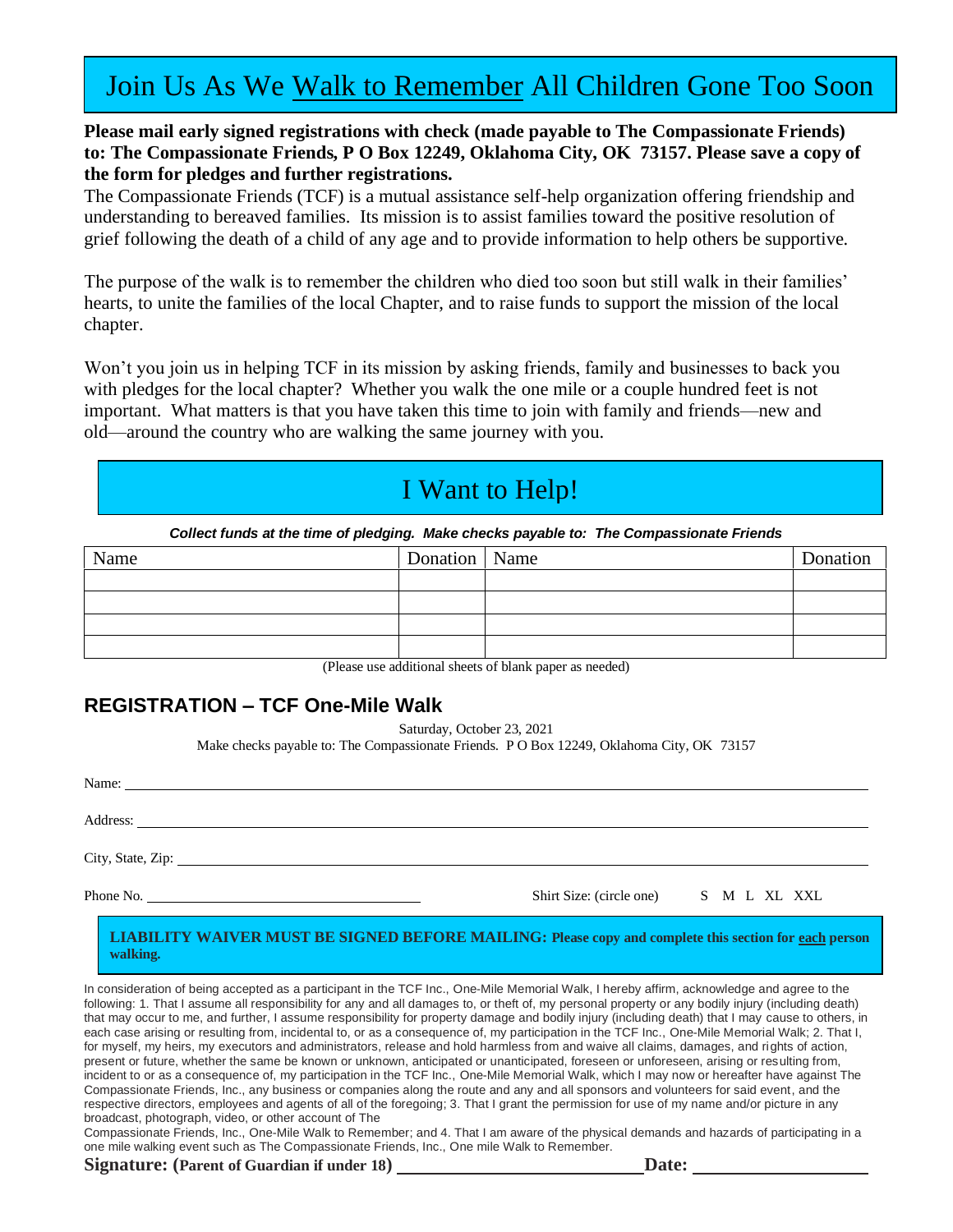# Join Us As We Walk to Remember All Children Gone Too Soon

### **Please mail early signed registrations with check (made payable to The Compassionate Friends) to: The Compassionate Friends, P O Box 12249, Oklahoma City, OK 73157. Please save a copy of the form for pledges and further registrations.**

The Compassionate Friends (TCF) is a mutual assistance self-help organization offering friendship and understanding to bereaved families. Its mission is to assist families toward the positive resolution of grief following the death of a child of any age and to provide information to help others be supportive.

The purpose of the walk is to remember the children who died too soon but still walk in their families' hearts, to unite the families of the local Chapter, and to raise funds to support the mission of the local chapter.

Won't you join us in helping TCF in its mission by asking friends, family and businesses to back you with pledges for the local chapter? Whether you walk the one mile or a couple hundred feet is not important. What matters is that you have taken this time to join with family and friends—new and old—around the country who are walking the same journey with you.

# I Want to Help!

*Collect funds at the time of pledging. Make checks payable to: The Compassionate Friends*

| Name | Donation   Name | Donation |  |
|------|-----------------|----------|--|
|      |                 |          |  |
|      |                 |          |  |
|      |                 |          |  |
|      |                 |          |  |

(Please use additional sheets of blank paper as needed)

## **REGISTRATION – TCF One-Mile Walk**

Saturday, October 23, 2021

Make checks payable to: The Compassionate Friends. P O Box 12249, Oklahoma City, OK 73157

Name:

Address:

City, State, Zip:

| Phone No. | Shirt<br>(circle one)<br>Size: |  | M |  | <b>XZT</b><br>AL. | $\Delta \Delta L$ |
|-----------|--------------------------------|--|---|--|-------------------|-------------------|
|-----------|--------------------------------|--|---|--|-------------------|-------------------|

#### **LIABILITY WAIVER MUST BE SIGNED BEFORE MAILING: Please copy and complete this section for each person walking.**

In consideration of being accepted as a participant in the TCF Inc., One-Mile Memorial Walk, I hereby affirm, acknowledge and agree to the following: 1. That I assume all responsibility for any and all damages to, or theft of, my personal property or any bodily injury (including death) that may occur to me, and further, I assume responsibility for property damage and bodily injury (including death) that I may cause to others, in each case arising or resulting from, incidental to, or as a consequence of, my participation in the TCF Inc., One-Mile Memorial Walk; 2. That I, for myself, my heirs, my executors and administrators, release and hold harmless from and waive all claims, damages, and rights of action, present or future, whether the same be known or unknown, anticipated or unanticipated, foreseen or unforeseen, arising or resulting from, incident to or as a consequence of, my participation in the TCF Inc., One-Mile Memorial Walk, which I may now or hereafter have against The Compassionate Friends, Inc., any business or companies along the route and any and all sponsors and volunteers for said event, and the respective directors, employees and agents of all of the foregoing; 3. That I grant the permission for use of my name and/or picture in any broadcast, photograph, video, or other account of The

Compassionate Friends, Inc., One-Mile Walk to Remember; and 4. That I am aware of the physical demands and hazards of participating in a one mile walking event such as The Compassionate Friends, Inc., One mile Walk to Remember.

**Signature: (Parent of Guardian if under 18) Date:**